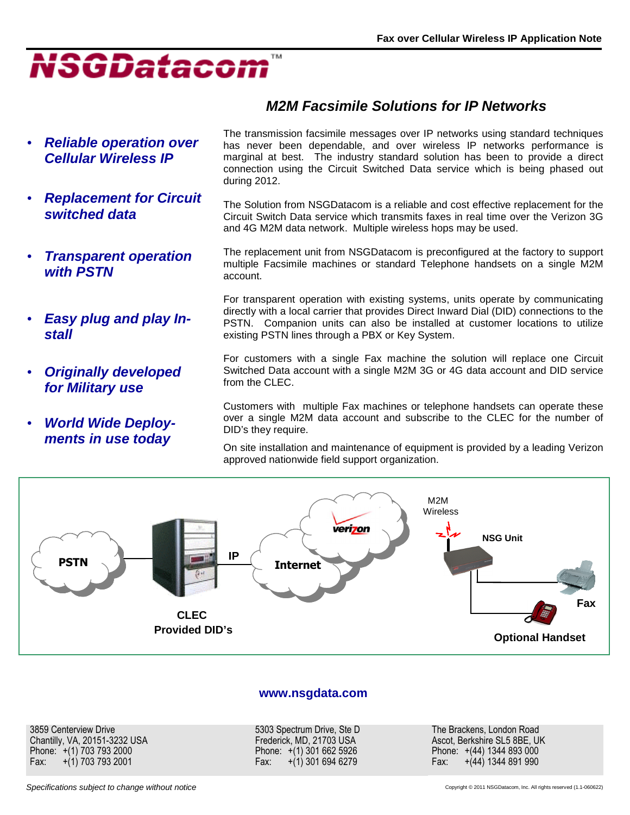

- **Reliable operation over Cellular Wireless IP**
- **Replacement for Circuit switched data**
- **Transparent operation with PSTN**
- **Easy plug and play Install**
- **Originally developed for Military use**
- **World Wide Deployments in use today**

The transmission facsimile messages over IP networks using standard techniques has never been dependable, and over wireless IP networks performance is marginal at best. The industry standard solution has been to provide a direct connection using the Circuit Switched Data service which is being phased out during 2012.

**M2M Facsimile Solutions for IP Networks** 

The Solution from NSGDatacom is a reliable and cost effective replacement for the Circuit Switch Data service which transmits faxes in real time over the Verizon 3G and 4G M2M data network. Multiple wireless hops may be used.

The replacement unit from NSGDatacom is preconfigured at the factory to support multiple Facsimile machines or standard Telephone handsets on a single M2M account.

For transparent operation with existing systems, units operate by communicating directly with a local carrier that provides Direct Inward Dial (DID) connections to the PSTN. Companion units can also be installed at customer locations to utilize existing PSTN lines through a PBX or Key System.

For customers with a single Fax machine the solution will replace one Circuit Switched Data account with a single M2M 3G or 4G data account and DID service from the CLEC.

Customers with multiple Fax machines or telephone handsets can operate these over a single M2M data account and subscribe to the CLEC for the number of DID's they require.

On site installation and maintenance of equipment is provided by a leading Verizon approved nationwide field support organization.



## **www.nsgdata.com**

3859 Centerview Drive Chantilly, VA, 20151-3232 USA Phone: +(1) 703 793 2000 Fax: +(1) 703 793 2001

5303 Spectrum Drive, Ste D Frederick, MD, 21703 USA Phone: +(1) 301 662 5926 Fax: +(1) 301 694 6279

The Brackens, London Road Ascot, Berkshire SL5 8BE, UK Phone: +(44) 1344 893 000 Fax: +(44) 1344 891 990